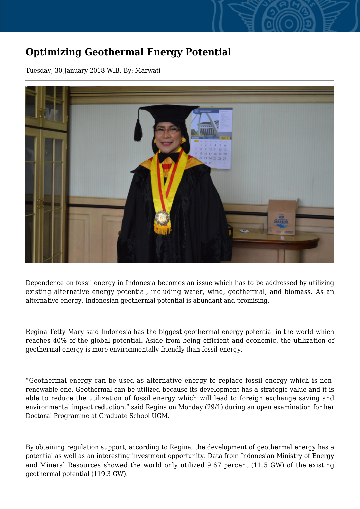## **Optimizing Geothermal Energy Potential**

Tuesday, 30 January 2018 WIB, By: Marwati



Dependence on fossil energy in Indonesia becomes an issue which has to be addressed by utilizing existing alternative energy potential, including water, wind, geothermal, and biomass. As an alternative energy, Indonesian geothermal potential is abundant and promising.

Regina Tetty Mary said Indonesia has the biggest geothermal energy potential in the world which reaches 40% of the global potential. Aside from being efficient and economic, the utilization of geothermal energy is more environmentally friendly than fossil energy.

"Geothermal energy can be used as alternative energy to replace fossil energy which is nonrenewable one. Geothermal can be utilized because its development has a strategic value and it is able to reduce the utilization of fossil energy which will lead to foreign exchange saving and environmental impact reduction," said Regina on Monday (29/1) during an open examination for her Doctoral Programme at Graduate School UGM.

By obtaining regulation support, according to Regina, the development of geothermal energy has a potential as well as an interesting investment opportunity. Data from Indonesian Ministry of Energy and Mineral Resources showed the world only utilized 9.67 percent (11.5 GW) of the existing geothermal potential (119.3 GW).